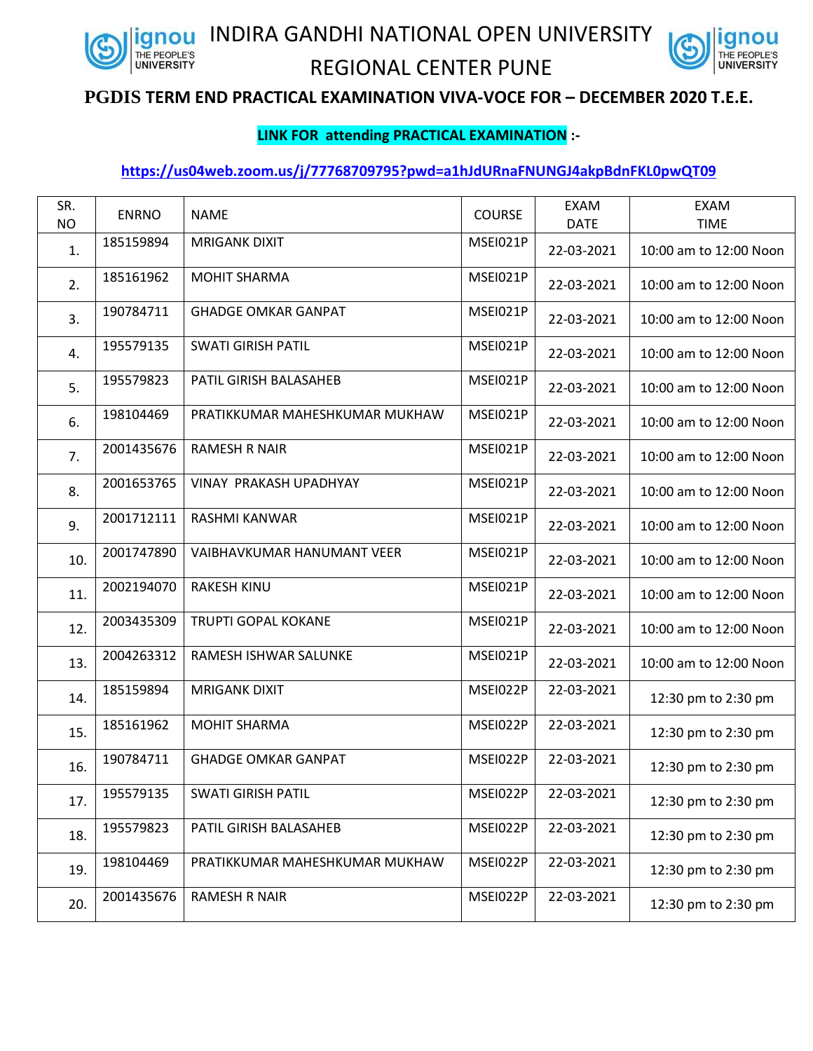

INDIRA GANDHI NATIONAL OPEN UNIVERSITY



## REGIONAL CENTER PUNE

## **PGDIS TERM END PRACTICAL EXAMINATION VIVA-VOCE FOR – DECEMBER 2020 T.E.E.**

## **LINK FOR attending PRACTICAL EXAMINATION :-**

## **<https://us04web.zoom.us/j/77768709795?pwd=a1hJdURnaFNUNGJ4akpBdnFKL0pwQT09>**

| SR.<br><b>NO</b> | <b>ENRNO</b> | <b>NAME</b>                    | COURSE   | <b>EXAM</b><br><b>DATE</b> | <b>EXAM</b><br><b>TIME</b> |
|------------------|--------------|--------------------------------|----------|----------------------------|----------------------------|
| 1.               | 185159894    | <b>MRIGANK DIXIT</b>           | MSEI021P | 22-03-2021                 | 10:00 am to 12:00 Noon     |
| 2.               | 185161962    | <b>MOHIT SHARMA</b>            | MSEI021P | 22-03-2021                 | 10:00 am to 12:00 Noon     |
| 3.               | 190784711    | <b>GHADGE OMKAR GANPAT</b>     | MSEI021P | 22-03-2021                 | 10:00 am to 12:00 Noon     |
| 4.               | 195579135    | <b>SWATI GIRISH PATIL</b>      | MSEI021P | 22-03-2021                 | 10:00 am to 12:00 Noon     |
| 5.               | 195579823    | PATIL GIRISH BALASAHEB         | MSEI021P | 22-03-2021                 | 10:00 am to 12:00 Noon     |
| 6.               | 198104469    | PRATIKKUMAR MAHESHKUMAR MUKHAW | MSEI021P | 22-03-2021                 | 10:00 am to 12:00 Noon     |
| 7.               | 2001435676   | <b>RAMESH R NAIR</b>           | MSEI021P | 22-03-2021                 | 10:00 am to 12:00 Noon     |
| 8.               | 2001653765   | VINAY PRAKASH UPADHYAY         | MSEI021P | 22-03-2021                 | 10:00 am to 12:00 Noon     |
| 9.               | 2001712111   | RASHMI KANWAR                  | MSEI021P | 22-03-2021                 | 10:00 am to 12:00 Noon     |
| 10.              | 2001747890   | VAIBHAVKUMAR HANUMANT VEER     | MSEI021P | 22-03-2021                 | 10:00 am to 12:00 Noon     |
| 11.              | 2002194070   | <b>RAKESH KINU</b>             | MSEI021P | 22-03-2021                 | 10:00 am to 12:00 Noon     |
| 12.              | 2003435309   | <b>TRUPTI GOPAL KOKANE</b>     | MSEI021P | 22-03-2021                 | 10:00 am to 12:00 Noon     |
| 13.              | 2004263312   | RAMESH ISHWAR SALUNKE          | MSEI021P | 22-03-2021                 | 10:00 am to 12:00 Noon     |
| 14.              | 185159894    | <b>MRIGANK DIXIT</b>           | MSEI022P | 22-03-2021                 | 12:30 pm to 2:30 pm        |
| 15.              | 185161962    | <b>MOHIT SHARMA</b>            | MSEI022P | 22-03-2021                 | 12:30 pm to 2:30 pm        |
| 16.              | 190784711    | <b>GHADGE OMKAR GANPAT</b>     | MSEI022P | 22-03-2021                 | 12:30 pm to 2:30 pm        |
| 17.              | 195579135    | SWATI GIRISH PATIL             | MSEI022P | 22-03-2021                 | 12:30 pm to 2:30 pm        |
| 18.              | 195579823    | PATIL GIRISH BALASAHEB         | MSEI022P | 22-03-2021                 | 12:30 pm to 2:30 pm        |
| 19.              | 198104469    | PRATIKKUMAR MAHESHKUMAR MUKHAW | MSEI022P | 22-03-2021                 | 12:30 pm to 2:30 pm        |
| 20.              | 2001435676   | RAMESH R NAIR                  | MSEI022P | 22-03-2021                 | 12:30 pm to 2:30 pm        |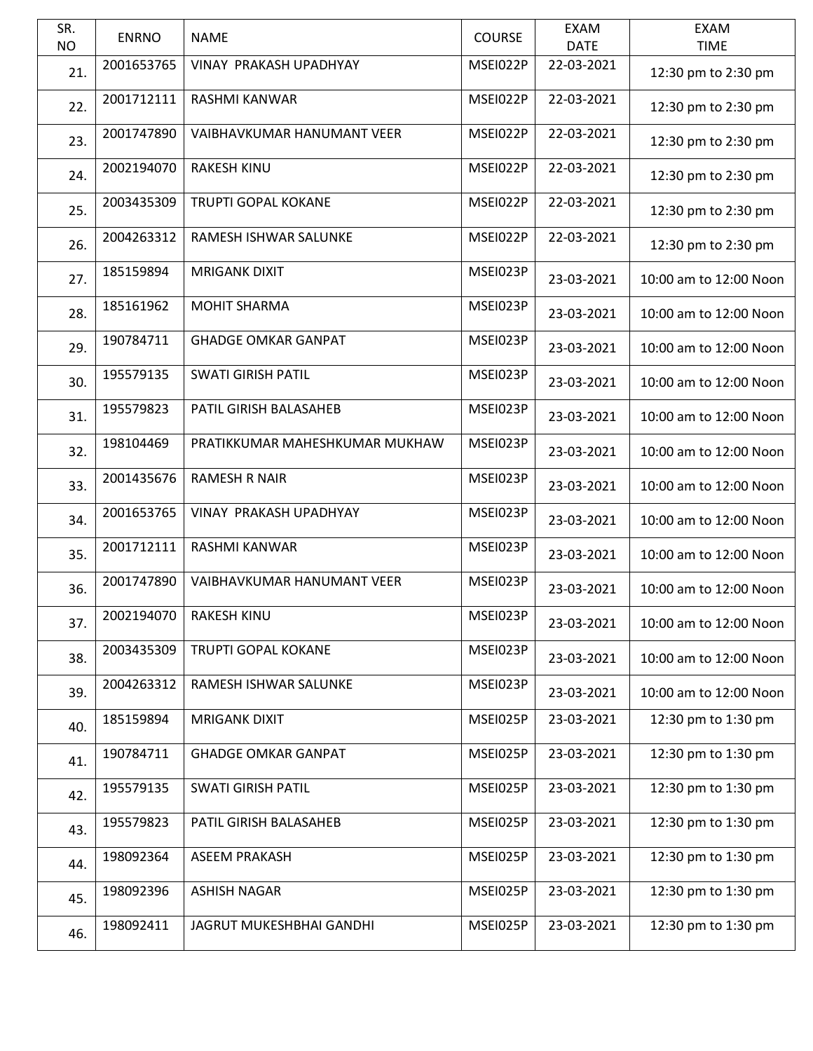| SR.       | <b>ENRNO</b> | <b>NAME</b>                    | <b>COURSE</b> | <b>EXAM</b> | <b>EXAM</b>            |
|-----------|--------------|--------------------------------|---------------|-------------|------------------------|
| <b>NO</b> |              |                                |               | <b>DATE</b> | <b>TIME</b>            |
| 21.       | 2001653765   | VINAY PRAKASH UPADHYAY         | MSEI022P      | 22-03-2021  | 12:30 pm to 2:30 pm    |
| 22.       | 2001712111   | <b>RASHMI KANWAR</b>           | MSEI022P      | 22-03-2021  | 12:30 pm to 2:30 pm    |
| 23.       | 2001747890   | VAIBHAVKUMAR HANUMANT VEER     | MSEI022P      | 22-03-2021  | 12:30 pm to 2:30 pm    |
| 24.       | 2002194070   | <b>RAKESH KINU</b>             | MSEI022P      | 22-03-2021  | 12:30 pm to 2:30 pm    |
| 25.       | 2003435309   | <b>TRUPTI GOPAL KOKANE</b>     | MSEI022P      | 22-03-2021  | 12:30 pm to 2:30 pm    |
| 26.       | 2004263312   | RAMESH ISHWAR SALUNKE          | MSEI022P      | 22-03-2021  | 12:30 pm to 2:30 pm    |
| 27.       | 185159894    | <b>MRIGANK DIXIT</b>           | MSEI023P      | 23-03-2021  | 10:00 am to 12:00 Noon |
| 28.       | 185161962    | <b>MOHIT SHARMA</b>            | MSEI023P      | 23-03-2021  | 10:00 am to 12:00 Noon |
| 29.       | 190784711    | <b>GHADGE OMKAR GANPAT</b>     | MSEI023P      | 23-03-2021  | 10:00 am to 12:00 Noon |
| 30.       | 195579135    | <b>SWATI GIRISH PATIL</b>      | MSEI023P      | 23-03-2021  | 10:00 am to 12:00 Noon |
| 31.       | 195579823    | PATIL GIRISH BALASAHEB         | MSEI023P      | 23-03-2021  | 10:00 am to 12:00 Noon |
| 32.       | 198104469    | PRATIKKUMAR MAHESHKUMAR MUKHAW | MSEI023P      | 23-03-2021  | 10:00 am to 12:00 Noon |
| 33.       | 2001435676   | <b>RAMESH R NAIR</b>           | MSEI023P      | 23-03-2021  | 10:00 am to 12:00 Noon |
| 34.       | 2001653765   | <b>VINAY PRAKASH UPADHYAY</b>  | MSEI023P      | 23-03-2021  | 10:00 am to 12:00 Noon |
| 35.       | 2001712111   | RASHMI KANWAR                  | MSEI023P      | 23-03-2021  | 10:00 am to 12:00 Noon |
| 36.       | 2001747890   | VAIBHAVKUMAR HANUMANT VEER     | MSEI023P      | 23-03-2021  | 10:00 am to 12:00 Noon |
| 37.       | 2002194070   | RAKESH KINU                    | MSEI023P      | 23-03-2021  | 10:00 am to 12:00 Noon |
| 38.       | 2003435309   | TRUPTI GOPAL KOKANE            | MSEI023P      | 23-03-2021  | 10:00 am to 12:00 Noon |
| 39.       | 2004263312   | RAMESH ISHWAR SALUNKE          | MSEI023P      | 23-03-2021  | 10:00 am to 12:00 Noon |
| 40.       | 185159894    | <b>MRIGANK DIXIT</b>           | MSEI025P      | 23-03-2021  | 12:30 pm to 1:30 pm    |
| 41.       | 190784711    | <b>GHADGE OMKAR GANPAT</b>     | MSEI025P      | 23-03-2021  | 12:30 pm to 1:30 pm    |
| 42.       | 195579135    | <b>SWATI GIRISH PATIL</b>      | MSEI025P      | 23-03-2021  | 12:30 pm to 1:30 pm    |
| 43.       | 195579823    | PATIL GIRISH BALASAHEB         | MSEI025P      | 23-03-2021  | 12:30 pm to 1:30 pm    |
| 44.       | 198092364    | <b>ASEEM PRAKASH</b>           | MSEI025P      | 23-03-2021  | 12:30 pm to 1:30 pm    |
| 45.       | 198092396    | <b>ASHISH NAGAR</b>            | MSEI025P      | 23-03-2021  | 12:30 pm to 1:30 pm    |
| 46.       | 198092411    | JAGRUT MUKESHBHAI GANDHI       | MSEI025P      | 23-03-2021  | 12:30 pm to 1:30 pm    |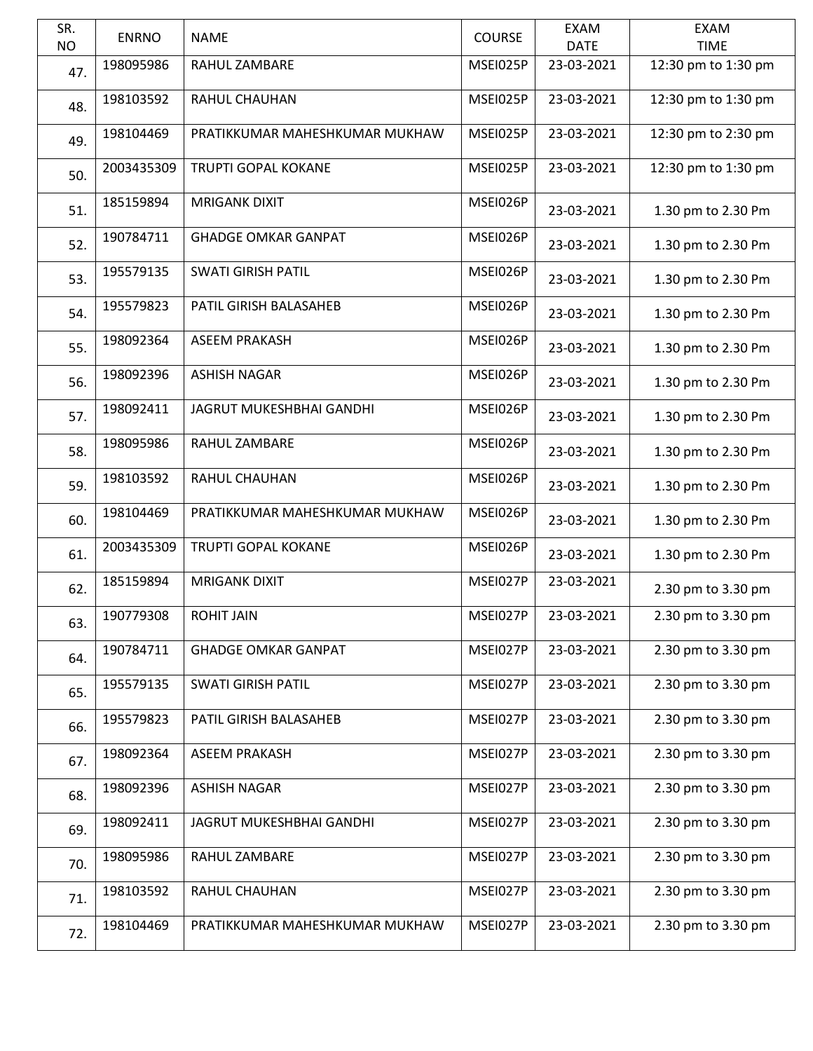| SR.<br><b>NO</b> | <b>ENRNO</b> | <b>NAME</b>                    | <b>COURSE</b> | <b>EXAM</b><br><b>DATE</b> | <b>EXAM</b><br><b>TIME</b> |
|------------------|--------------|--------------------------------|---------------|----------------------------|----------------------------|
| 47.              | 198095986    | RAHUL ZAMBARE                  | MSEI025P      | 23-03-2021                 | 12:30 pm to 1:30 pm        |
| 48.              | 198103592    | <b>RAHUL CHAUHAN</b>           | MSEI025P      | 23-03-2021                 | 12:30 pm to 1:30 pm        |
| 49.              | 198104469    | PRATIKKUMAR MAHESHKUMAR MUKHAW | MSEI025P      | 23-03-2021                 | 12:30 pm to 2:30 pm        |
| 50.              | 2003435309   | <b>TRUPTI GOPAL KOKANE</b>     | MSEI025P      | 23-03-2021                 | 12:30 pm to 1:30 pm        |
| 51.              | 185159894    | <b>MRIGANK DIXIT</b>           | MSEI026P      | 23-03-2021                 | 1.30 pm to 2.30 Pm         |
| 52.              | 190784711    | <b>GHADGE OMKAR GANPAT</b>     | MSEI026P      | 23-03-2021                 | 1.30 pm to 2.30 Pm         |
| 53.              | 195579135    | <b>SWATI GIRISH PATIL</b>      | MSEI026P      | 23-03-2021                 | 1.30 pm to 2.30 Pm         |
| 54.              | 195579823    | PATIL GIRISH BALASAHEB         | MSEI026P      | 23-03-2021                 | 1.30 pm to 2.30 Pm         |
| 55.              | 198092364    | <b>ASEEM PRAKASH</b>           | MSEI026P      | 23-03-2021                 | 1.30 pm to 2.30 Pm         |
| 56.              | 198092396    | <b>ASHISH NAGAR</b>            | MSEI026P      | 23-03-2021                 | 1.30 pm to 2.30 Pm         |
| 57.              | 198092411    | JAGRUT MUKESHBHAI GANDHI       | MSEI026P      | 23-03-2021                 | 1.30 pm to 2.30 Pm         |
| 58.              | 198095986    | RAHUL ZAMBARE                  | MSEI026P      | 23-03-2021                 | 1.30 pm to 2.30 Pm         |
| 59.              | 198103592    | RAHUL CHAUHAN                  | MSEI026P      | 23-03-2021                 | 1.30 pm to 2.30 Pm         |
| 60.              | 198104469    | PRATIKKUMAR MAHESHKUMAR MUKHAW | MSEI026P      | 23-03-2021                 | 1.30 pm to 2.30 Pm         |
| 61.              | 2003435309   | TRUPTI GOPAL KOKANE            | MSEI026P      | 23-03-2021                 | 1.30 pm to 2.30 Pm         |
| 62.              | 185159894    | <b>MRIGANK DIXIT</b>           | MSEI027P      | 23-03-2021                 | 2.30 pm to 3.30 pm         |
| 63.              | 190779308    | <b>ROHIT JAIN</b>              | MSEI027P      | 23-03-2021                 | 2.30 pm to 3.30 pm         |
| 64.              | 190784711    | <b>GHADGE OMKAR GANPAT</b>     | MSEI027P      | 23-03-2021                 | 2.30 pm to 3.30 pm         |
| 65.              | 195579135    | <b>SWATI GIRISH PATIL</b>      | MSEI027P      | 23-03-2021                 | 2.30 pm to 3.30 pm         |
| 66.              | 195579823    | PATIL GIRISH BALASAHEB         | MSEI027P      | 23-03-2021                 | 2.30 pm to 3.30 pm         |
| 67.              | 198092364    | <b>ASEEM PRAKASH</b>           | MSEI027P      | 23-03-2021                 | 2.30 pm to 3.30 pm         |
| 68.              | 198092396    | <b>ASHISH NAGAR</b>            | MSEI027P      | 23-03-2021                 | 2.30 pm to 3.30 pm         |
| 69.              | 198092411    | JAGRUT MUKESHBHAI GANDHI       | MSEI027P      | 23-03-2021                 | 2.30 pm to 3.30 pm         |
| 70.              | 198095986    | RAHUL ZAMBARE                  | MSEI027P      | 23-03-2021                 | 2.30 pm to 3.30 pm         |
| 71.              | 198103592    | RAHUL CHAUHAN                  | MSEI027P      | 23-03-2021                 | 2.30 pm to 3.30 pm         |
| 72.              | 198104469    | PRATIKKUMAR MAHESHKUMAR MUKHAW | MSEI027P      | 23-03-2021                 | 2.30 pm to 3.30 pm         |